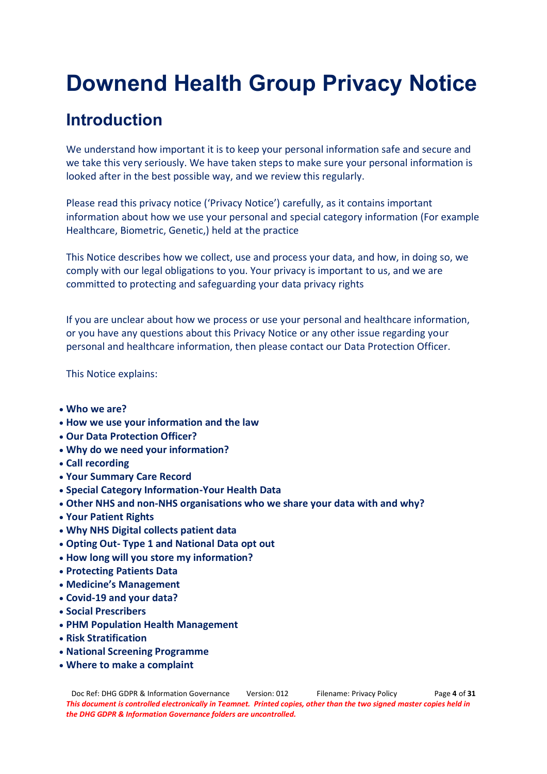# **Downend Health Group Privacy Notice**

## **Introduction**

We understand how important it is to keep your personal information safe and secure and we take this very seriously. We have taken steps to make sure your personal information is looked after in the best possible way, and we review this regularly.

Please read this privacy notice ('Privacy Notice') carefully, as it contains important information about how we use your personal and special category information (For example Healthcare, Biometric, Genetic,) held at the practice

This Notice describes how we collect, use and process your data, and how, in doing so, we comply with our legal obligations to you. Your privacy is important to us, and we are committed to protecting and safeguarding your data privacy rights

If you are unclear about how we process or use your personal and healthcare information, or you have any questions about this Privacy Notice or any other issue regarding your personal and healthcare information, then please contact our Data Protection Officer.

This Notice explains:

- x **Who we are?**
- x **How we use your information and the law**
- x **Our Data Protection Officer?**
- x **Why do we need your information?**
- x **Call recording**
- x **Your Summary Care Record**
- x **Special Category Information-Your Health Data**
- x **Other NHS and non-NHS organisations who we share your data with and why?**
- x **Your Patient Rights**
- x **Why NHS Digital collects patient data**
- x **Opting Out- Type 1 and National Data opt out**
- x **How long will you store my information?**
- x **Protecting Patients Data**
- **Medicine's Management**
- x **Covid-19 and your data?**
- x **Social Prescribers**
- x **PHM Population Health Management**
- x **Risk Stratification**
- x **National Screening Programme**
- x **Where to make a complaint**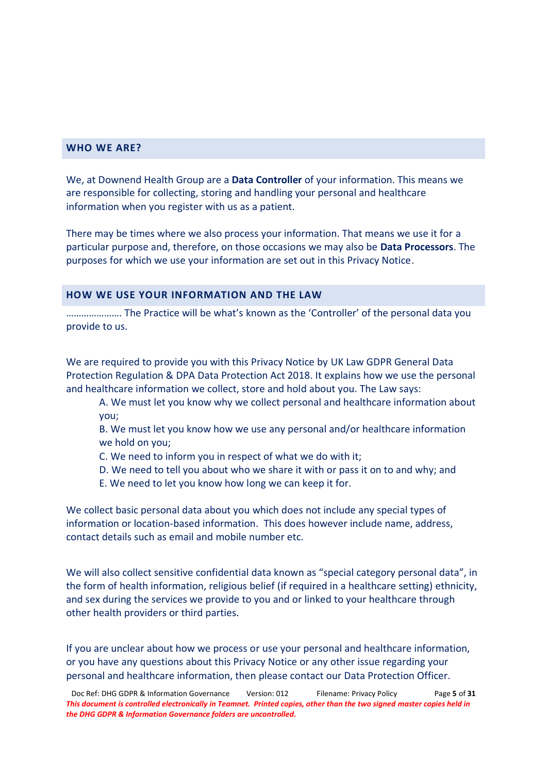## **WHO WE ARE?**

We, at Downend Health Group are a **Data Controller** of your information. This means we are responsible for collecting, storing and handling your personal and healthcare information when you register with us as a patient.

There may be times where we also process your information. That means we use it for a particular purpose and, therefore, on those occasions we may also be **Data Processors**. The purposes for which we use your information are set out in this Privacy Notice.

#### **HOW WE USE YOUR INFORMATION AND THE LAW**

......................... The Practice will be what's known as the 'Controller' of the personal data vou provide to us.

We are required to provide you with this Privacy Notice by UK Law GDPR General Data Protection Regulation & DPA Data Protection Act 2018. It explains how we use the personal and healthcare information we collect, store and hold about you. The Law says:

A. We must let you know why we collect personal and healthcare information about you;

B. We must let you know how we use any personal and/or healthcare information we hold on you;

- C. We need to inform you in respect of what we do with it;
- D. We need to tell you about who we share it with or pass it on to and why; and
- E. We need to let you know how long we can keep it for.

We collect basic personal data about you which does not include any special types of information or location-based information. This does however include name, address, contact details such as email and mobile number etc.

We will also collect sensitive confidential data known as "special category personal data", in the form of health information, religious belief (if required in a healthcare setting) ethnicity, and sex during the services we provide to you and or linked to your healthcare through other health providers or third parties.

If you are unclear about how we process or use your personal and healthcare information, or you have any questions about this Privacy Notice or any other issue regarding your personal and healthcare information, then please contact our Data Protection Officer.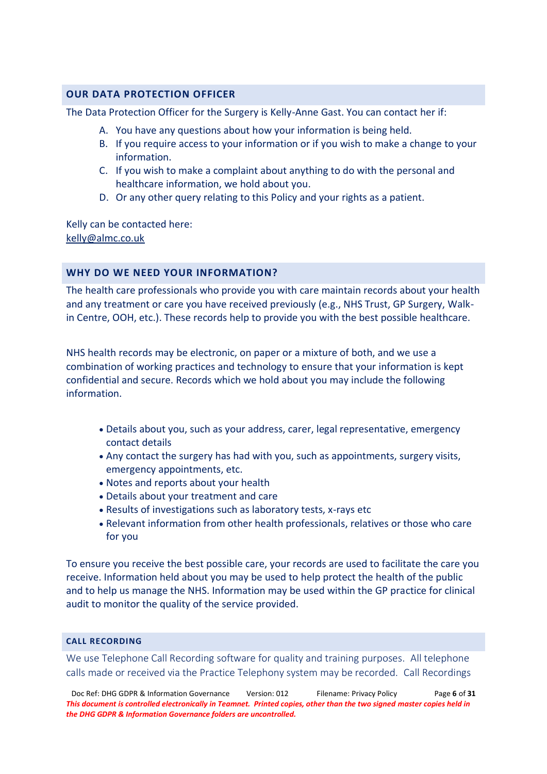## **OUR DATA PROTECTION OFFICER**

The Data Protection Officer for the Surgery is Kelly-Anne Gast. You can contact her if:

- A. You have any questions about how your information is being held.
- B. If you require access to your information or if you wish to make a change to your information.
- C. If you wish to make a complaint about anything to do with the personal and healthcare information, we hold about you.
- D. Or any other query relating to this Policy and your rights as a patient.

Kelly can be contacted here: [kelly@almc.co.uk](mailto:kelly@almc.co.uk)

## **WHY DO WE NEED YOUR INFORMATION?**

The health care professionals who provide you with care maintain records about your health and any treatment or care you have received previously (e.g., NHS Trust, GP Surgery, Walkin Centre, OOH, etc.). These records help to provide you with the best possible healthcare.

NHS health records may be electronic, on paper or a mixture of both, and we use a combination of working practices and technology to ensure that your information is kept confidential and secure. Records which we hold about you may include the following information.

- x Details about you, such as your address, carer, legal representative, emergency contact details
- Any contact the surgery has had with you, such as appointments, surgery visits, emergency appointments, etc.
- Notes and reports about your health
- Details about your treatment and care
- Results of investigations such as laboratory tests, x-rays etc
- x Relevant information from other health professionals, relatives or those who care for you

To ensure you receive the best possible care, your records are used to facilitate the care you receive. Information held about you may be used to help protect the health of the public and to help us manage the NHS. Information may be used within the GP practice for clinical audit to monitor the quality of the service provided.

### **CALL RECORDING**

We use Telephone Call Recording software for quality and training purposes. All telephone calls made or received via the Practice Telephony system may be recorded. Call Recordings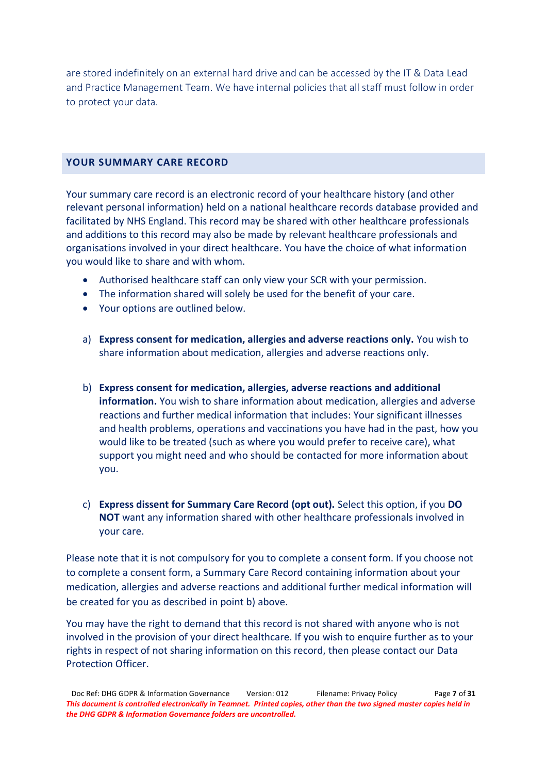are stored indefinitely on an external hard drive and can be accessed by the IT & Data Lead and Practice Management Team. We have internal policies that all staff must follow in order to protect your data.

## **YOUR SUMMARY CARE RECORD**

Your summary care record is an electronic record of your healthcare history (and other relevant personal information) held on a national healthcare records database provided and facilitated by NHS England. This record may be shared with other healthcare professionals and additions to this record may also be made by relevant healthcare professionals and organisations involved in your direct healthcare. You have the choice of what information you would like to share and with whom.

- Authorised healthcare staff can only view your SCR with your permission.
- The information shared will solely be used for the benefit of your care.
- Your options are outlined below.
- a) **Express consent for medication, allergies and adverse reactions only.** You wish to share information about medication, allergies and adverse reactions only.
- b) **Express consent for medication, allergies, adverse reactions and additional information.** You wish to share information about medication, allergies and adverse reactions and further medical information that includes: Your significant illnesses and health problems, operations and vaccinations you have had in the past, how you would like to be treated (such as where you would prefer to receive care), what support you might need and who should be contacted for more information about you.
- c) **Express dissent for Summary Care Record (opt out).** Select this option, if you **DO NOT** want any information shared with other healthcare professionals involved in your care.

Please note that it is not compulsory for you to complete a consent form. If you choose not to complete a consent form, a Summary Care Record containing information about your medication, allergies and adverse reactions and additional further medical information will be created for you as described in point b) above.

You may have the right to demand that this record is not shared with anyone who is not involved in the provision of your direct healthcare. If you wish to enquire further as to your rights in respect of not sharing information on this record, then please contact our Data Protection Officer.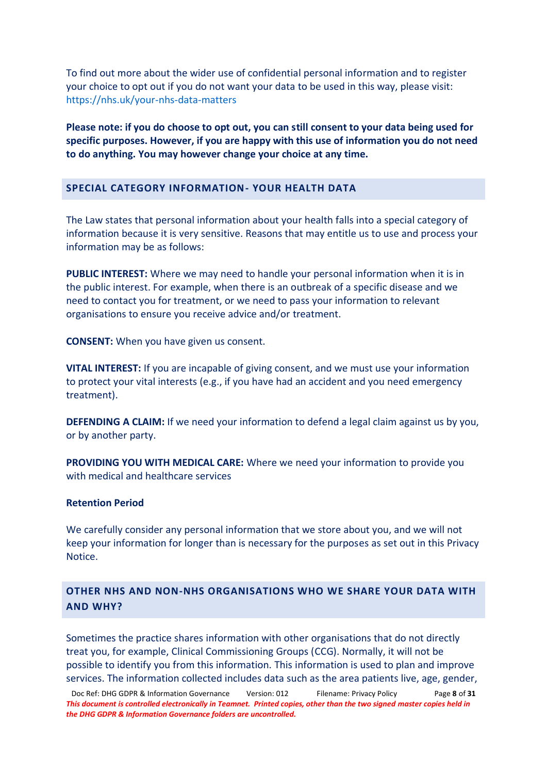To find out more about the wider use of confidential personal information and to register your choice to opt out if you do not want your data to be used in this way, please visit: <https://nhs.uk/your-nhs-data-matters>

**Please note: if you do choose to opt out, you can still consent to your data being used for specific purposes. However, if you are happy with this use of information you do not need to do anything. You may however change your choice at any time.**

#### **SPECIAL CATEGORY INFORMATION- YOUR HEALTH DATA**

The Law states that personal information about your health falls into a special category of information because it is very sensitive. Reasons that may entitle us to use and process your information may be as follows:

**PUBLIC INTEREST:** Where we may need to handle your personal information when it is in the public interest. For example, when there is an outbreak of a specific disease and we need to contact you for treatment, or we need to pass your information to relevant organisations to ensure you receive advice and/or treatment.

**CONSENT:** When you have given us consent.

**VITAL INTEREST:** If you are incapable of giving consent, and we must use your information to protect your vital interests (e.g., if you have had an accident and you need emergency treatment).

**DEFENDING A CLAIM:** If we need your information to defend a legal claim against us by you, or by another party.

**PROVIDING YOU WITH MEDICAL CARE:** Where we need your information to provide you with medical and healthcare services

#### **Retention Period**

We carefully consider any personal information that we store about you, and we will not keep your information for longer than is necessary for the purposes as set out in this Privacy Notice.

## **OTHER NHS AND NON-NHS ORGANISATIONS WHO WE SHARE YOUR DATA WITH AND WHY?**

Sometimes the practice shares information with other organisations that do not directly treat you, for example, Clinical Commissioning Groups (CCG). Normally, it will not be possible to identify you from this information. This information is used to plan and improve services. The information collected includes data such as the area patients live, age, gender,

Doc Ref: DHG GDPR & Information Governance Version: 012 Filename: Privacy Policy Page **8** of **31** *This document is controlled electronically in Teamnet. Printed copies, other than the two signed master copies held in the DHG GDPR & Information Governance folders are uncontrolled.*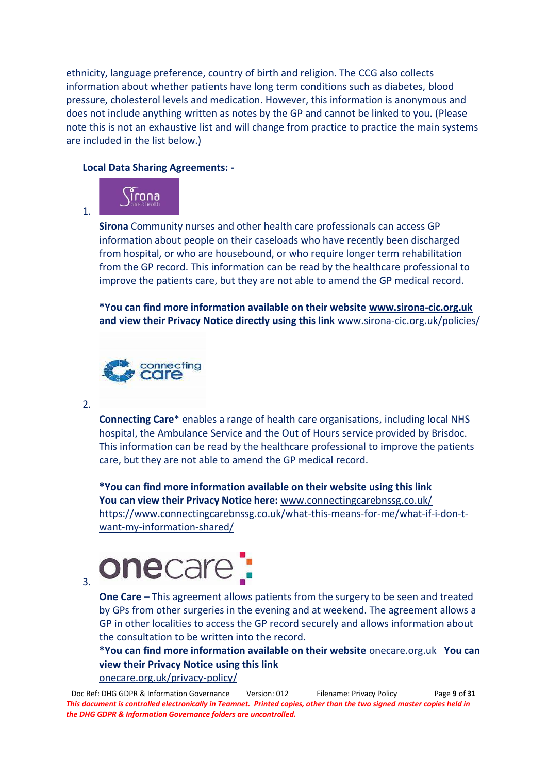ethnicity, language preference, country of birth and religion. The CCG also collects information about whether patients have long term conditions such as diabetes, blood pressure, cholesterol levels and medication. However, this information is anonymous and does not include anything written as notes by the GP and cannot be linked to you. (Please note this is not an exhaustive list and will change from practice to practice the main systems are included in the list below.)

## **Local Data Sharing Agreements: -**



**Sirona** Community nurses and other health care professionals can access GP information about people on their caseloads who have recently been discharged from hospital, or who are housebound, or who require longer term rehabilitation from the GP record. This information can be read by the healthcare professional to improve the patients care, but they are not able to amend the GP medical record.

**\*You can find more information available on their website [www.sirona-cic.org.uk](http://www.sirona-cic.org.uk/) and view their Privacy Notice directly using this link** [www.sirona-cic.org.uk/policies/](http://www.sirona-cic.org.uk/policies/)



2.

1.

**Connecting Care**\* enables a range of health care organisations, including local NHS hospital, the Ambulance Service and the Out of Hours service provided by Brisdoc. This information can be read by the healthcare professional to improve the patients care, but they are not able to amend the GP medical record.

**\*You can find more information available on their website using this link You can view their Privacy Notice here:** [www.connectingcarebnssg.co.uk/](http://www.connectingcarebnssg.co.uk/)  [https://www.connectingcarebnssg.co.uk/what-this-means-for-me/what-if-i-don-t](https://www.connectingcarebnssg.co.uk/what-this-means-for-me/what-if-i-don-t-want-my-information-shared/)[want-my-information-shared/](https://www.connectingcarebnssg.co.uk/what-this-means-for-me/what-if-i-don-t-want-my-information-shared/)



**One Care** – This agreement allows patients from the surgery to be seen and treated by GPs from other surgeries in the evening and at weekend. The agreement allows a GP in other localities to access the GP record securely and allows information about the consultation to be written into the record.

**\*You can find more information available on their website** onecare.org.uk **You can view their Privacy Notice using this link** [onecare.org.uk/privacy-policy/](https://onecare.org.uk/privacy-policy/)

Doc Ref: DHG GDPR & Information Governance Version: 012 Filename: Privacy Policy Page **9** of **31** *This document is controlled electronically in Teamnet. Printed copies, other than the two signed master copies held in the DHG GDPR & Information Governance folders are uncontrolled.*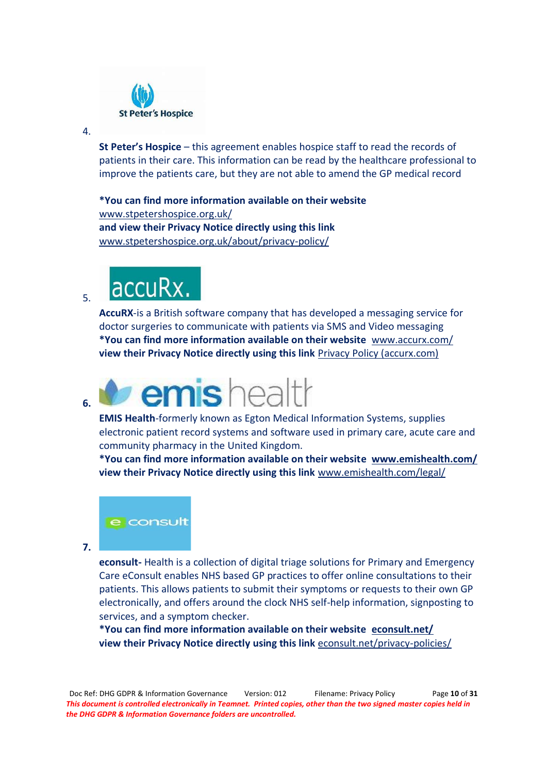

#### 4.

**St Peter's Hospice** – this agreement enables hospice staff to read the records of patients in their care. This information can be read by the healthcare professional to improve the patients care, but they are not able to amend the GP medical record

**\*You can find more information available on their website**  [www.stpetershospice.org.uk/](https://www.stpetershospice.org.uk/)  **and view their Privacy Notice directly using this link** [www.stpetershospice.org.uk/about/privacy-policy/](https://www.stpetershospice.org.uk/about/privacy-policy/)

## accuRx. 5.

**AccuRX**-is a British software company that has developed a messaging service for doctor surgeries to communicate with patients via SMS and Video messaging **\*You can find more information available on their website** [www.accurx.com/](http://www.accurx.com/)  **view their Privacy Notice directly using this link** [Privacy Policy \(accurx.com\)](https://www.accurx.com/privacy-policy)

## emishealth **6.**

**EMIS Health**-formerly known as Egton Medical Information Systems, supplies electronic patient record systems and software used in primary care, acute care and community pharmacy in the United Kingdom.

**\*You can find more information available on their website [www.emishealth.com/](https://www.emishealth.com/)  view their Privacy Notice directly using this link** [www.emishealth.com/legal/](http://www.emishealth.com/legal/)



**7.**

**econsult-** Health is a collection of digital triage solutions for Primary and Emergency Care eConsult enables NHS based GP practices to offer online consultations to their patients. This allows patients to submit their symptoms or requests to their own GP electronically, and offers around the clock NHS self-help information, signposting to services, and a symptom checker.

**\*You can find more information available on their website [econsult.net/](https://econsult.net/)  view their Privacy Notice directly using this link** [econsult.net/privacy-policies/](https://econsult.net/privacy-policies/)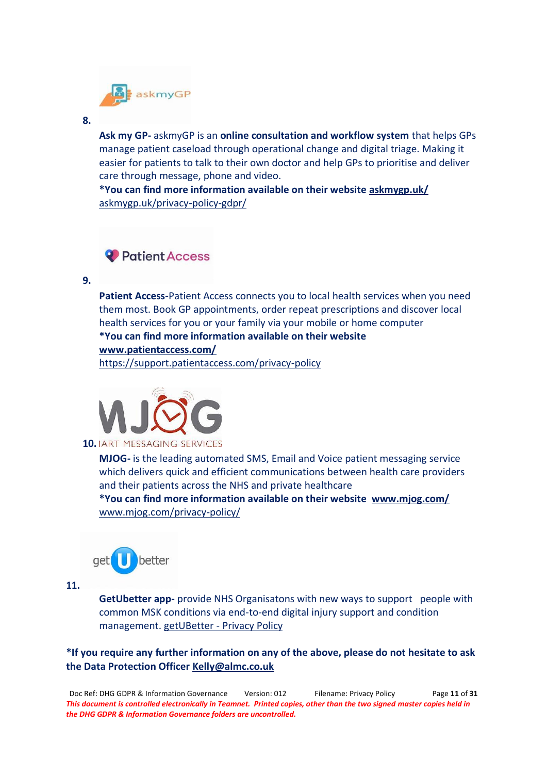

#### **8.**

**Ask my GP-** askmyGP is an **online consultation and workflow system** that helps GPs manage patient caseload through operational change and digital triage. Making it easier for patients to talk to their own doctor and help GPs to prioritise and deliver care through message, phone and video.

**\*You can find more information available on their websit[e askmygp.uk/](https://askmygp.uk/)**  [askmygp.uk/privacy-policy-gdpr/](https://askmygp.uk/privacy-policy-gdpr/)

## <sup>2</sup> Patient Access

**9.**

**Patient Access-**Patient Access connects you to local health services when you need them most. Book GP appointments, order repeat prescriptions and discover local health services for you or your family via your mobile or home computer **\*You can find more information available on their website [www.patientaccess.com/](https://www.patientaccess.com/)** 

<https://support.patientaccess.com/privacy-policy>



**MJOG-** is the leading automated SMS, Email and Voice patient messaging service which delivers quick and efficient communications between health care providers and their patients across the NHS and private healthcare **\*You can find more information available on their website [www.mjog.com/](http://www.mjog.com/)**  [www.mjog.com/privacy-policy/](http://www.mjog.com/privacy-policy/)



**11.**

**GetUbetter app-** provide NHS Organisatons with new ways to support people with common MSK conditions via end-to-end digital injury support and condition management. getUBetter - [Privacy Policy](https://www.getubetter.com/privacy-policy)

**\*If you require any further information on any of the above, please do not hesitate to ask the Data Protection Officer [Kelly@almc.co.uk](mailto:Kelly@almc.co.uk)**

Doc Ref: DHG GDPR & Information Governance Version: 012 Filename: Privacy Policy Page **11** of **31** *This document is controlled electronically in Teamnet. Printed copies, other than the two signed master copies held in the DHG GDPR & Information Governance folders are uncontrolled.*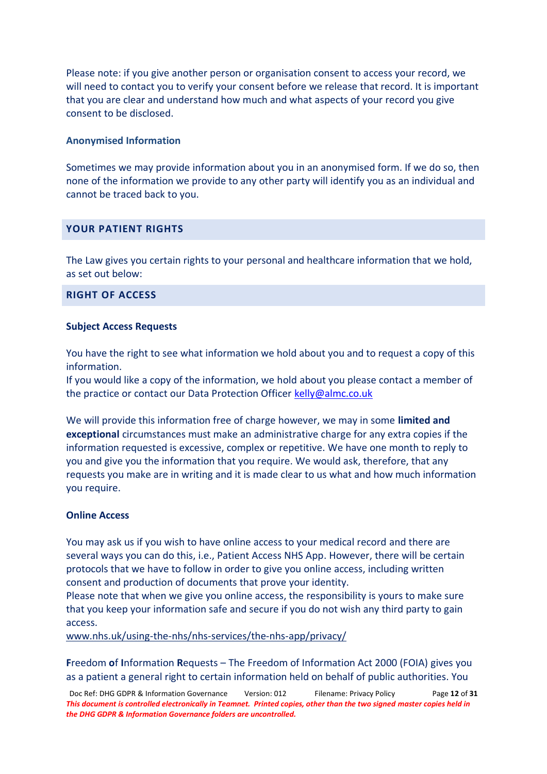Please note: if you give another person or organisation consent to access your record, we will need to contact you to verify your consent before we release that record. It is important that you are clear and understand how much and what aspects of your record you give consent to be disclosed.

#### **Anonymised Information**

Sometimes we may provide information about you in an anonymised form. If we do so, then none of the information we provide to any other party will identify you as an individual and cannot be traced back to you.

#### **YOUR PATIENT RIGHTS**

The Law gives you certain rights to your personal and healthcare information that we hold, as set out below:

## **RIGHT OF ACCESS**

#### **Subject Access Requests**

You have the right to see what information we hold about you and to request a copy of this information.

If you would like a copy of the information, we hold about you please contact a member of the practice or contact our Data Protection Officer [kelly@almc.co.uk](mailto:kelly@almc.co.uk)

We will provide this information free of charge however, we may in some **limited and exceptional** circumstances must make an administrative charge for any extra copies if the information requested is excessive, complex or repetitive. We have one month to reply to you and give you the information that you require. We would ask, therefore, that any requests you make are in writing and it is made clear to us what and how much information you require.

#### **Online Access**

You may ask us if you wish to have online access to your medical record and there are several ways you can do this, i.e., Patient Access NHS App. However, there will be certain protocols that we have to follow in order to give you online access, including written consent and production of documents that prove your identity.

Please note that when we give you online access, the responsibility is yours to make sure that you keep your information safe and secure if you do not wish any third party to gain access.

[www.nhs.uk/using-the-nhs/nhs-services/the-nhs-app/privacy/](https://www.nhs.uk/using-the-nhs/nhs-services/the-nhs-app/privacy/)

**Freedom of Information Requests – The Freedom of Information Act 2000 (FOIA) gives you** as a patient a general right to certain information held on behalf of public authorities. You

Doc Ref: DHG GDPR & Information Governance Version: 012 Filename: Privacy Policy Page **12** of **31** *This document is controlled electronically in Teamnet. Printed copies, other than the two signed master copies held in the DHG GDPR & Information Governance folders are uncontrolled.*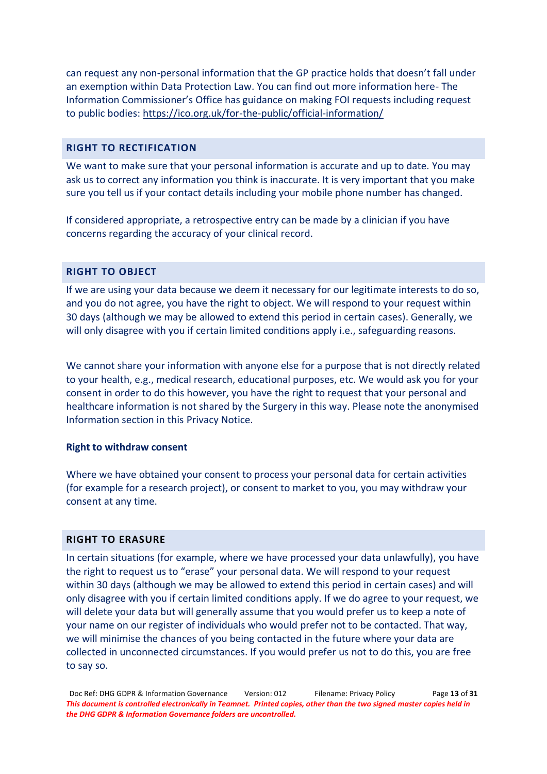can request any non-personal information that the GP practice holds that doesn't fall under an exemption within Data Protection Law. You can find out more information here- The Information Commissioner's Office has guidance on making FOI requests including request to public bodies:<https://ico.org.uk/for-the-public/official-information/>

## **RIGHT TO RECTIFICATION**

We want to make sure that your personal information is accurate and up to date. You may ask us to correct any information you think is inaccurate. It is very important that you make sure you tell us if your contact details including your mobile phone number has changed.

If considered appropriate, a retrospective entry can be made by a clinician if you have concerns regarding the accuracy of your clinical record.

## **RIGHT TO OBJECT**

If we are using your data because we deem it necessary for our legitimate interests to do so, and you do not agree, you have the right to object. We will respond to your request within 30 days (although we may be allowed to extend this period in certain cases). Generally, we will only disagree with you if certain limited conditions apply i.e., safeguarding reasons.

We cannot share your information with anyone else for a purpose that is not directly related to your health, e.g., medical research, educational purposes, etc. We would ask you for your consent in order to do this however, you have the right to request that your personal and healthcare information is not shared by the Surgery in this way. Please note the anonymised Information section in this Privacy Notice.

## **Right to withdraw consent**

Where we have obtained your consent to process your personal data for certain activities (for example for a research project), or consent to market to you, you may withdraw your consent at any time.

## **RIGHT TO ERASURE**

In certain situations (for example, where we have processed your data unlawfully), you have the right to request us to "erase" your personal data. We will respond to your request within 30 days (although we may be allowed to extend this period in certain cases) and will only disagree with you if certain limited conditions apply. If we do agree to your request, we will delete your data but will generally assume that you would prefer us to keep a note of your name on our register of individuals who would prefer not to be contacted. That way, we will minimise the chances of you being contacted in the future where your data are collected in unconnected circumstances. If you would prefer us not to do this, you are free to say so.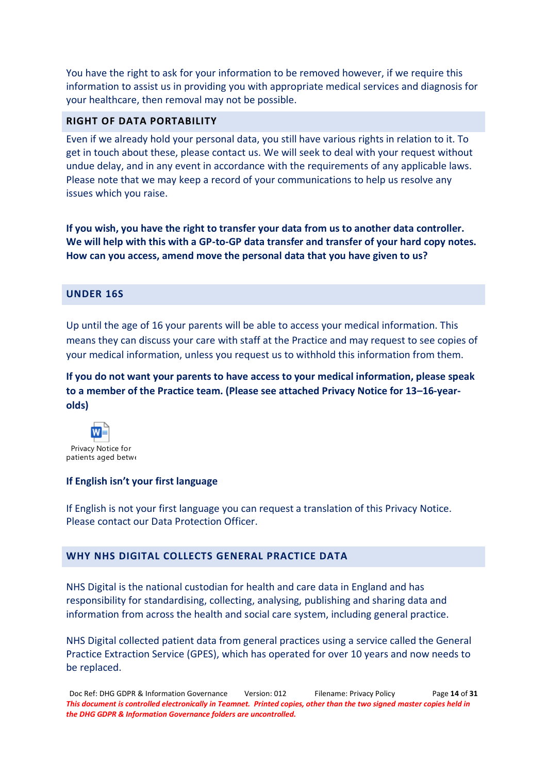You have the right to ask for your information to be removed however, if we require this information to assist us in providing you with appropriate medical services and diagnosis for your healthcare, then removal may not be possible.

## **RIGHT OF DATA PORTABILITY**

Even if we already hold your personal data, you still have various rights in relation to it. To get in touch about these, please contact us. We will seek to deal with your request without undue delay, and in any event in accordance with the requirements of any applicable laws. Please note that we may keep a record of your communications to help us resolve any issues which you raise.

**If you wish, you have the right to transfer your data from us to another data controller. We will help with this with a GP-to-GP data transfer and transfer of your hard copy notes. How can you access, amend move the personal data that you have given to us?**

## **UNDER 16S**

Up until the age of 16 your parents will be able to access your medical information. This means they can discuss your care with staff at the Practice and may request to see copies of your medical information, unless you request us to withhold this information from them.

**If you do not want your parents to have access to your medical information, please speak**  to a member of the Practice team. (Please see attached Privacy Notice for 13-16-year**olds)**



#### **If English isn't your first language**

If English is not your first language you can request a translation of this Privacy Notice. Please contact our Data Protection Officer.

#### **WHY NHS DIGITAL COLLECTS GENERAL PRACTICE DATA**

NHS Digital is the national custodian for health and care data in England and has responsibility for standardising, collecting, analysing, publishing and sharing data and information from across the health and social care system, including general practice.

NHS Digital collected patient data from general practices using a service called the General Practice Extraction Service (GPES), which has operated for over 10 years and now needs to be replaced.

Doc Ref: DHG GDPR & Information Governance Version: 012 Filename: Privacy Policy Page **14** of **31** *This document is controlled electronically in Teamnet. Printed copies, other than the two signed master copies held in the DHG GDPR & Information Governance folders are uncontrolled.*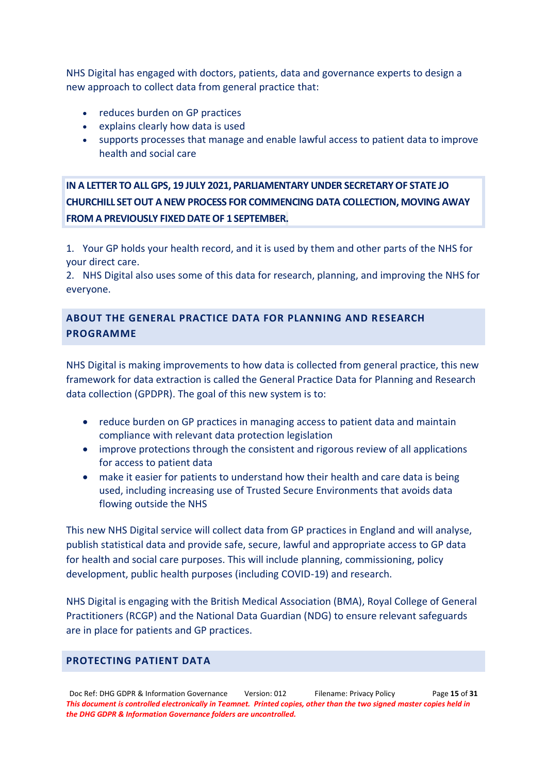NHS Digital has engaged with doctors, patients, data and governance experts to design a new approach to collect data from general practice that:

- reduces burden on GP practices
- explains clearly how data is used
- supports processes that manage and enable lawful access to patient data to improve health and social care

**IN A LETTER TO ALL GPS, 19 JULY 2021, PARLIAMENTARY UNDER SECRETARY OF STATE JO CHURCHILL SET OUT A NEW PROCESS FOR COMMENCING DATA COLLECTION, MOVING AWAY FROM A PREVIOUSLY FIXED DATE OF 1 SEPTEMBER.**

1. Your GP holds your health record, and it is used by them and other parts of the NHS for your direct care.

2. NHS Digital also uses some of this data for research, planning, and improving the NHS for everyone.

## **ABOUT THE GENERAL PRACTICE DATA FOR PLANNING AND RESEARCH PROGRAMME**

NHS Digital is making improvements to how data is collected from general practice, this new framework for data extraction is called the General Practice Data for Planning and Research data collection (GPDPR). The goal of this new system is to:

- reduce burden on GP practices in managing access to patient data and maintain compliance with relevant data protection legislation
- improve protections through the consistent and rigorous review of all applications for access to patient data
- make it easier for patients to understand how their health and care data is being used, including increasing use of Trusted Secure Environments that avoids data flowing outside the NHS

This new NHS Digital service will collect data from GP practices in England and will analyse, publish statistical data and provide safe, secure, lawful and appropriate access to GP data for health and social care purposes. This will include planning, commissioning, policy development, public health purposes (including COVID-19) and research.

NHS Digital is engaging with the British Medical Association (BMA), Royal College of General Practitioners (RCGP) and the National Data Guardian (NDG) to ensure relevant safeguards are in place for patients and GP practices.

## **PROTECTING PATIENT DATA**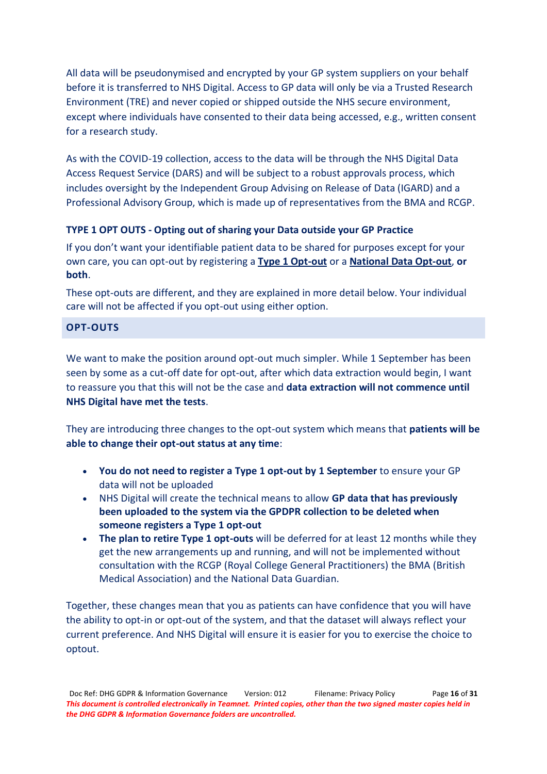All data will be pseudonymised and encrypted by your GP system suppliers on your behalf before it is transferred to NHS Digital. Access to GP data will only be via a Trusted Research Environment (TRE) and never copied or shipped outside the NHS secure environment, except where individuals have consented to their data being accessed, e.g., written consent for a research study.

As with the COVID-19 collection, access to the data will be through the NHS Digital Data Access Request Service (DARS) and will be subject to a robust approvals process, which includes oversight by the Independent Group Advising on Release of Data (IGARD) and a Professional Advisory Group, which is made up of representatives from the BMA and RCGP.

## **TYPE 1 OPT OUTS - Opting out of sharing your Data outside your GP Practice**

If you don't want your identifiable patient data to be shared for purposes except for your own care, you can opt-out by registering a **[Type 1 Opt-out](https://digital.nhs.uk/about-nhs-digital/our-work/keeping-patient-data-safe/how-we-look-after-your-health-and-care-information/your-information-choices/opting-out-of-sharing-your-confidential-patient-information)** or a **[National Data Opt-out](https://www.nhs.uk/your-nhs-data-matters/manage-your-choice/)**, **or both**.

These opt-outs are different, and they are explained in more detail below. Your individual care will not be affected if you opt-out using either option.

## **OPT-OUTS**

We want to make the position around opt-out much simpler. While 1 September has been seen by some as a cut-off date for opt-out, after which data extraction would begin, I want to reassure you that this will not be the case and **data extraction will not commence until NHS Digital have met the tests**.

They are introducing three changes to the opt-out system which means that **patients will be able to change their opt-out status at any time**:

- x **You do not need to register a Type 1 opt-out by 1 September** to ensure your GP data will not be uploaded
- x NHS Digital will create the technical means to allow **GP data that has previously been uploaded to the system via the GPDPR collection to be deleted when someone registers a Type 1 opt-out**
- **The plan to retire Type 1 opt-outs** will be deferred for at least 12 months while they get the new arrangements up and running, and will not be implemented without consultation with the RCGP (Royal College General Practitioners) the BMA (British Medical Association) and the National Data Guardian.

Together, these changes mean that you as patients can have confidence that you will have the ability to opt-in or opt-out of the system, and that the dataset will always reflect your current preference. And NHS Digital will ensure it is easier for you to exercise the choice to optout.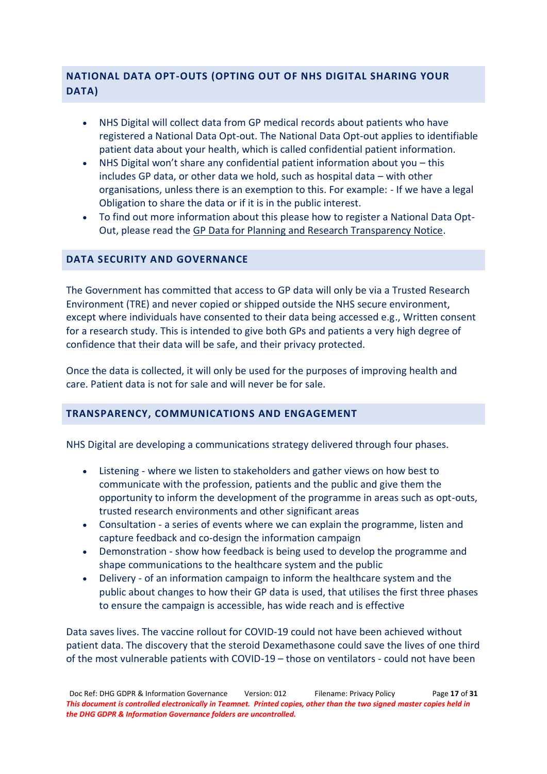## **NATIONAL DATA OPT-OUTS (OPTING OUT OF NHS DIGITAL SHARING YOUR DATA)**

- NHS Digital will collect data from GP medical records about patients who have registered a National Data Opt-out. The National Data Opt-out applies to identifiable patient data about your health, which is called confidential patient information.
- NHS Digital won't share any confidential patient information about you this includes GP data, or other data we hold, such as hospital data  $-$  with other organisations, unless there is an exemption to this. For example: - If we have a legal Obligation to share the data or if it is in the public interest.
- To find out more information about this please how to register a National Data Opt-Out, please read the [GP Data for Planning and Research Transparency Notice.](https://digital.nhs.uk/data-and-information/data-collections-and-data-sets/data-collections/general-practice-data-for-planning-and-research/transparency-notice)

## **DATA SECURITY AND GOVERNANCE**

The Government has committed that access to GP data will only be via a Trusted Research Environment (TRE) and never copied or shipped outside the NHS secure environment, except where individuals have consented to their data being accessed e.g., Written consent for a research study. This is intended to give both GPs and patients a very high degree of confidence that their data will be safe, and their privacy protected.

Once the data is collected, it will only be used for the purposes of improving health and care. Patient data is not for sale and will never be for sale.

## **TRANSPARENCY, COMMUNICATIONS AND ENGAGEMENT**

NHS Digital are developing a communications strategy delivered through four phases.

- Listening where we listen to stakeholders and gather views on how best to communicate with the profession, patients and the public and give them the opportunity to inform the development of the programme in areas such as opt-outs, trusted research environments and other significant areas
- Consultation a series of events where we can explain the programme, listen and capture feedback and co-design the information campaign
- Demonstration show how feedback is being used to develop the programme and shape communications to the healthcare system and the public
- Delivery of an information campaign to inform the healthcare system and the public about changes to how their GP data is used, that utilises the first three phases to ensure the campaign is accessible, has wide reach and is effective

Data saves lives. The vaccine rollout for COVID-19 could not have been achieved without patient data. The discovery that the steroid Dexamethasone could save the lives of one third of the most vulnerable patients with COVID-19 – those on ventilators - could not have been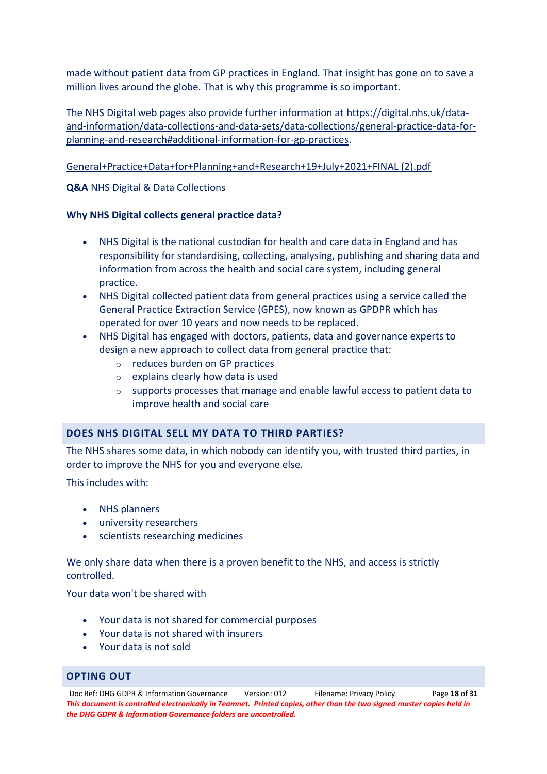made without patient data from GP practices in England. That insight has gone on to save a million lives around the globe. That is why this programme is so important.

The NHS Digital web pages also provide further information at [https://digital.nhs.uk/data](https://digital.nhs.uk/data-and-information/data-collections-and-data-sets/data-collections/general-practice-data-for-planning-and-research#additional-information-for-gp-practices)[and-information/data-collections-and-data-sets/data-collections/general-practice-data-for](https://digital.nhs.uk/data-and-information/data-collections-and-data-sets/data-collections/general-practice-data-for-planning-and-research#additional-information-for-gp-practices)[planning-and-research#additional-information-for-gp-practices.](https://digital.nhs.uk/data-and-information/data-collections-and-data-sets/data-collections/general-practice-data-for-planning-and-research#additional-information-for-gp-practices)

[General+Practice+Data+for+Planning+and+Research+19+July+2021+FINAL \(2\).pdf](file:///C:/Users/allstaff/Downloads/General+Practice+Data+for+Planning+and+Research+19+July+2021+FINAL%20(2).pdf)

**Q&A** NHS Digital & Data Collections

## **Why NHS Digital collects general practice data?**

- NHS Digital is the national custodian for health and care data in England and has responsibility for standardising, collecting, analysing, publishing and sharing data and information from across the health and social care system, including general practice.
- NHS Digital collected patient data from general practices using a service called the General Practice Extraction Service (GPES), now known as GPDPR which has operated for over 10 years and now needs to be replaced.
- NHS Digital has engaged with doctors, patients, data and governance experts to design a new approach to collect data from general practice that:
	- o reduces burden on GP practices
	- o explains clearly how data is used
	- o supports processes that manage and enable lawful access to patient data to improve health and social care

## **DOES NHS DIGITAL SELL MY DATA TO THIRD PARTIES?**

The NHS shares some data, in which nobody can identify you, with trusted third parties, in order to improve the NHS for you and everyone else.

This includes with:

- NHS planners
- university researchers
- scientists researching medicines

We only share data when there is a proven benefit to the NHS, and access is strictly controlled.

Your data won't be shared with

- Your data is not shared for commercial purposes
- Your data is not shared with insurers
- Your data is not sold

## **OPTING OUT**

Doc Ref: DHG GDPR & Information Governance Version: 012 Filename: Privacy Policy Page **18** of **31** *This document is controlled electronically in Teamnet. Printed copies, other than the two signed master copies held in the DHG GDPR & Information Governance folders are uncontrolled.*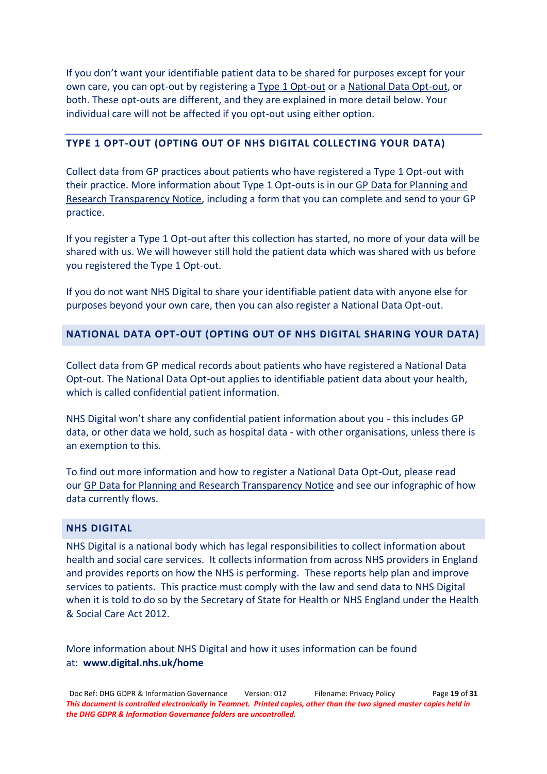If you don't want your identifiable patient data to be shared for purposes except for your own care, you can opt-out by registering a [Type 1 Opt-out](https://digital.nhs.uk/about-nhs-digital/our-work/keeping-patient-data-safe/how-we-look-after-your-health-and-care-information/your-information-choices/opting-out-of-sharing-your-confidential-patient-information) or a [National Data Opt-out,](https://www.nhs.uk/your-nhs-data-matters/manage-your-choice/) or both. These opt-outs are different, and they are explained in more detail below. Your individual care will not be affected if you opt-out using either option.

## **TYPE 1 OPT-OUT (OPTING OUT OF NHS DIGITAL COLLECTING YOUR DATA)**

Collect data from GP practices about patients who have registered a Type 1 Opt-out with their practice. More information about Type 1 Opt-outs is in our [GP Data for Planning and](https://digital.nhs.uk/data-and-information/data-collections-and-data-sets/data-collections/general-practice-data-for-planning-and-research/transparency-notice)  [Research Transparency Notice,](https://digital.nhs.uk/data-and-information/data-collections-and-data-sets/data-collections/general-practice-data-for-planning-and-research/transparency-notice) including a form that you can complete and send to your GP practice.

If you register a Type 1 Opt-out after this collection has started, no more of your data will be shared with us. We will however still hold the patient data which was shared with us before you registered the Type 1 Opt-out.

If you do not want NHS Digital to share your identifiable patient data with anyone else for purposes beyond your own care, then you can also register a National Data Opt-out.

## **NATIONAL DATA OPT-OUT (OPTING OUT OF NHS DIGITAL SHARING YOUR DATA)**

Collect data from GP medical records about patients who have registered a National Data Opt-out. The National Data Opt-out applies to identifiable patient data about your health, which is called confidential patient information.

NHS Digital won't share any confidential patient information about you - this includes GP data, or other data we hold, such as hospital data - with other organisations, unless there is an exemption to this.

To find out more information and how to register a National Data Opt-Out, please read our [GP Data for Planning and Research Transparency Notice](https://digital.nhs.uk/data-and-information/data-collections-and-data-sets/data-collections/general-practice-data-for-planning-and-research/transparency-notice) and see our infographic of how data currently flows.

### **NHS DIGITAL**

NHS Digital is a national body which has legal responsibilities to collect information about health and social care services. It collects information from across NHS providers in England and provides reports on how the NHS is performing. These reports help plan and improve services to patients. This practice must comply with the law and send data to NHS Digital when it is told to do so by the Secretary of State for Health or NHS England under the Health & Social Care Act 2012.

More information about NHS Digital and how it uses information can be found at: **[www.digital.nhs.uk/home](https://digital.nhs.uk/home)**

Doc Ref: DHG GDPR & Information Governance Version: 012 Filename: Privacy Policy Page **19** of **31** *This document is controlled electronically in Teamnet. Printed copies, other than the two signed master copies held in the DHG GDPR & Information Governance folders are uncontrolled.*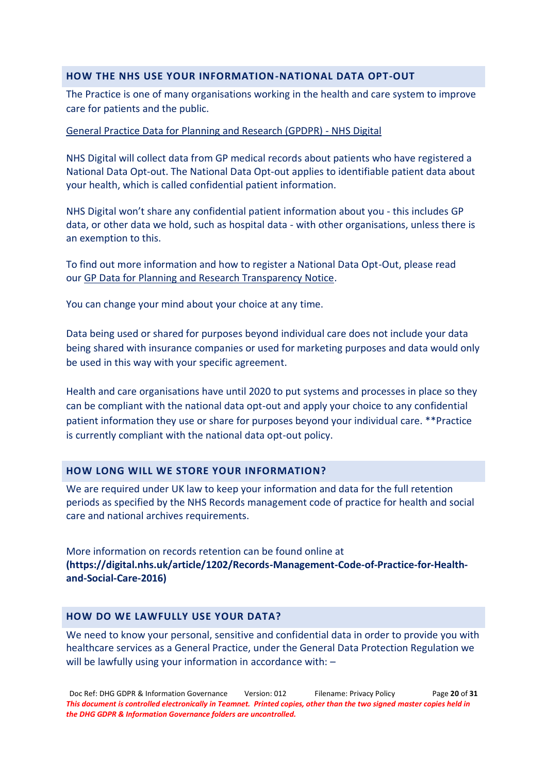## **HOW THE NHS USE YOUR INFORMATION-NATIONAL DATA OPT-OUT**

The Practice is one of many organisations working in the health and care system to improve care for patients and the public.

### [General Practice Data for Planning and Research \(GPDPR\) -](https://digital.nhs.uk/data-and-information/data-collections-and-data-sets/data-collections/general-practice-data-for-planning-and-research) NHS Digital

NHS Digital will collect data from GP medical records about patients who have registered a National Data Opt-out. The National Data Opt-out applies to identifiable patient data about your health, which is called confidential patient information.

NHS Digital won't share any confidential patient information about you - this includes GP data, or other data we hold, such as hospital data - with other organisations, unless there is an exemption to this.

To find out more information and how to register a National Data Opt-Out, please read our [GP Data for Planning and Research Transparency Notice.](https://digital.nhs.uk/data-and-information/data-collections-and-data-sets/data-collections/general-practice-data-for-planning-and-research/transparency-notice)

You can change your mind about your choice at any time.

Data being used or shared for purposes beyond individual care does not include your data being shared with insurance companies or used for marketing purposes and data would only be used in this way with your specific agreement.

Health and care organisations have until 2020 to put systems and processes in place so they can be compliant with the national data opt-out and apply your choice to any confidential patient information they use or share for purposes beyond your individual care. \*\*Practice is currently compliant with the national data opt-out policy.

## **HOW LONG WILL WE STORE YOUR INFORMATION?**

We are required under UK law to keep your information and data for the full retention periods as specified by the NHS Records management code of practice for health and social care and national archives requirements.

More information on records retention can be found online at **(https://digital.nhs.uk/article/1202/Records-Management-Code-of-Practice-for-Healthand-Social-Care-2016)**

#### **HOW DO WE LAWFULLY USE YOUR DATA?**

We need to know your personal, sensitive and confidential data in order to provide you with healthcare services as a General Practice, under the General Data Protection Regulation we will be lawfully using your information in accordance with:  $-$ 

Doc Ref: DHG GDPR & Information Governance Version: 012 Filename: Privacy Policy Page **20** of **31** *This document is controlled electronically in Teamnet. Printed copies, other than the two signed master copies held in the DHG GDPR & Information Governance folders are uncontrolled.*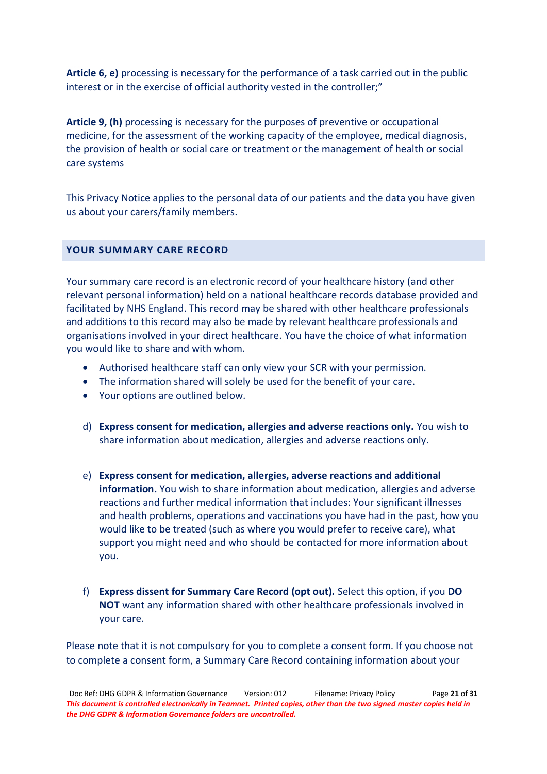**Article 6, e)** processing is necessary for the performance of a task carried out in the public interest or in the exercise of official authority vested in the controller;"

**Article 9, (h)** processing is necessary for the purposes of preventive or occupational medicine, for the assessment of the working capacity of the employee, medical diagnosis, the provision of health or social care or treatment or the management of health or social care systems

This Privacy Notice applies to the personal data of our patients and the data you have given us about your carers/family members.

## **YOUR SUMMARY CARE RECORD**

Your summary care record is an electronic record of your healthcare history (and other relevant personal information) held on a national healthcare records database provided and facilitated by NHS England. This record may be shared with other healthcare professionals and additions to this record may also be made by relevant healthcare professionals and organisations involved in your direct healthcare. You have the choice of what information you would like to share and with whom.

- Authorised healthcare staff can only view your SCR with your permission.
- The information shared will solely be used for the benefit of your care.
- Your options are outlined below.
- d) **Express consent for medication, allergies and adverse reactions only.** You wish to share information about medication, allergies and adverse reactions only.
- e) **Express consent for medication, allergies, adverse reactions and additional information.** You wish to share information about medication, allergies and adverse reactions and further medical information that includes: Your significant illnesses and health problems, operations and vaccinations you have had in the past, how you would like to be treated (such as where you would prefer to receive care), what support you might need and who should be contacted for more information about you.
- f) **Express dissent for Summary Care Record (opt out).** Select this option, if you **DO NOT** want any information shared with other healthcare professionals involved in your care.

Please note that it is not compulsory for you to complete a consent form. If you choose not to complete a consent form, a Summary Care Record containing information about your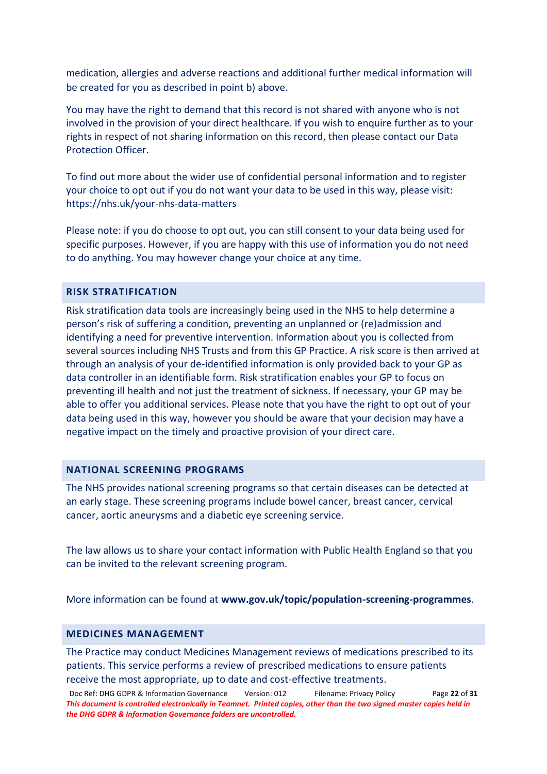medication, allergies and adverse reactions and additional further medical information will be created for you as described in point b) above.

You may have the right to demand that this record is not shared with anyone who is not involved in the provision of your direct healthcare. If you wish to enquire further as to your rights in respect of not sharing information on this record, then please contact our Data Protection Officer.

To find out more about the wider use of confidential personal information and to register your choice to opt out if you do not want your data to be used in this way, please visit: <https://nhs.uk/your-nhs-data-matters>

Please note: if you do choose to opt out, you can still consent to your data being used for specific purposes. However, if you are happy with this use of information you do not need to do anything. You may however change your choice at any time.

## **RISK STRATIFICATION**

Risk stratification data tools are increasingly being used in the NHS to help determine a person's risk of suffering a condition, preventing an unplanned or (re)admission and identifying a need for preventive intervention. Information about you is collected from several sources including NHS Trusts and from this GP Practice. A risk score is then arrived at through an analysis of your de-identified information is only provided back to your GP as data controller in an identifiable form. Risk stratification enables your GP to focus on preventing ill health and not just the treatment of sickness. If necessary, your GP may be able to offer you additional services. Please note that you have the right to opt out of your data being used in this way, however you should be aware that your decision may have a negative impact on the timely and proactive provision of your direct care.

## **NATIONAL SCREENING PROGRAMS**

The NHS provides national screening programs so that certain diseases can be detected at an early stage. These screening programs include bowel cancer, breast cancer, cervical cancer, aortic aneurysms and a diabetic eye screening service.

The law allows us to share your contact information with Public Health England so that you can be invited to the relevant screening program.

More information can be found at **[www.gov.uk/topic/population-screening-programmes](https://www.gov.uk/topic/population-screening-programmes)**.

## **MEDICINES MANAGEMENT**

The Practice may conduct Medicines Management reviews of medications prescribed to its patients. This service performs a review of prescribed medications to ensure patients receive the most appropriate, up to date and cost-effective treatments.

Doc Ref: DHG GDPR & Information Governance Version: 012 Filename: Privacy Policy Page **22** of **31** *This document is controlled electronically in Teamnet. Printed copies, other than the two signed master copies held in the DHG GDPR & Information Governance folders are uncontrolled.*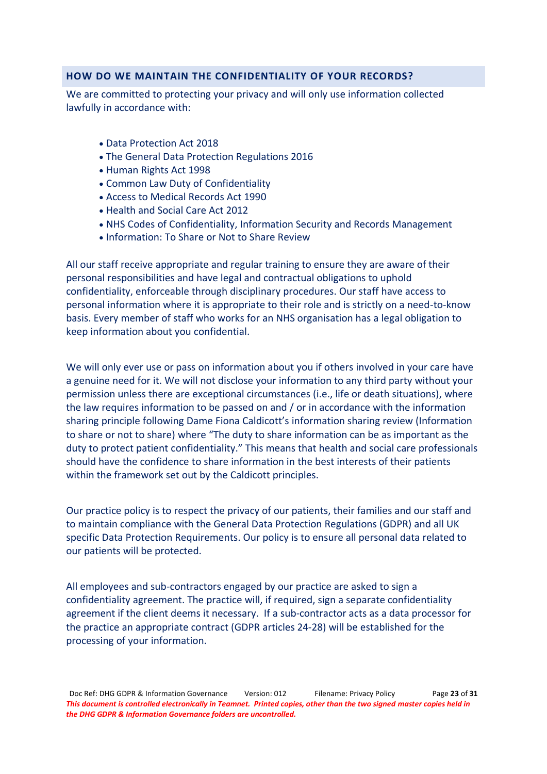## **HOW DO WE MAINTAIN THE CONFIDENTIALITY OF YOUR RECORDS?**

We are committed to protecting your privacy and will only use information collected lawfully in accordance with:

- Data Protection Act 2018
- The General Data Protection Regulations 2016
- Human Rights Act 1998
- Common Law Duty of Confidentiality
- Access to Medical Records Act 1990
- Health and Social Care Act 2012
- NHS Codes of Confidentiality, Information Security and Records Management
- Information: To Share or Not to Share Review

All our staff receive appropriate and regular training to ensure they are aware of their personal responsibilities and have legal and contractual obligations to uphold confidentiality, enforceable through disciplinary procedures. Our staff have access to personal information where it is appropriate to their role and is strictly on a need-to-know basis. Every member of staff who works for an NHS organisation has a legal obligation to keep information about you confidential.

We will only ever use or pass on information about you if others involved in your care have a genuine need for it. We will not disclose your information to any third party without your permission unless there are exceptional circumstances (i.e., life or death situations), where the law requires information to be passed on and / or in accordance with the information sharing principle following Dame Fiona Caldicott's information sharing review (Information to share or not to share) where "The duty to share information can be as important as the duty to protect patient confidentiality." This means that health and social care professionals should have the confidence to share information in the best interests of their patients within the framework set out by the Caldicott principles.

Our practice policy is to respect the privacy of our patients, their families and our staff and to maintain compliance with the General Data Protection Regulations (GDPR) and all UK specific Data Protection Requirements. Our policy is to ensure all personal data related to our patients will be protected.

All employees and sub-contractors engaged by our practice are asked to sign a confidentiality agreement. The practice will, if required, sign a separate confidentiality agreement if the client deems it necessary. If a sub-contractor acts as a data processor for the practice an appropriate contract (GDPR articles 24-28) will be established for the processing of your information.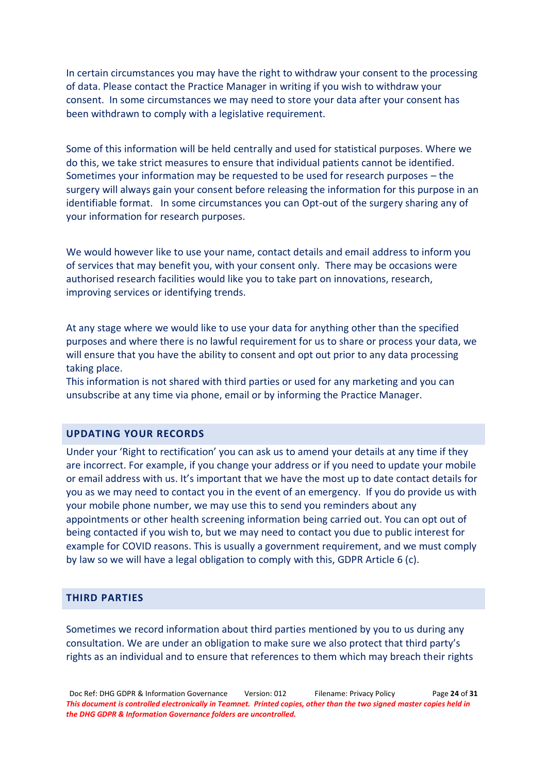In certain circumstances you may have the right to withdraw your consent to the processing of data. Please contact the Practice Manager in writing if you wish to withdraw your consent. In some circumstances we may need to store your data after your consent has been withdrawn to comply with a legislative requirement.

Some of this information will be held centrally and used for statistical purposes. Where we do this, we take strict measures to ensure that individual patients cannot be identified. Sometimes your information may be requested to be used for research purposes  $-$  the surgery will always gain your consent before releasing the information for this purpose in an identifiable format. In some circumstances you can Opt-out of the surgery sharing any of your information for research purposes.

We would however like to use your name, contact details and email address to inform you of services that may benefit you, with your consent only. There may be occasions were authorised research facilities would like you to take part on innovations, research, improving services or identifying trends.

At any stage where we would like to use your data for anything other than the specified purposes and where there is no lawful requirement for us to share or process your data, we will ensure that you have the ability to consent and opt out prior to any data processing taking place.

This information is not shared with third parties or used for any marketing and you can unsubscribe at any time via phone, email or by informing the Practice Manager.

## **UPDATING YOUR RECORDS**

Under your 'Right to rectification' you can ask us to amend your details at any time if they are incorrect. For example, if you change your address or if you need to update your mobile or email address with us. It's important that we have the most up to date contact details for you as we may need to contact you in the event of an emergency. If you do provide us with your mobile phone number, we may use this to send you reminders about any appointments or other health screening information being carried out. You can opt out of being contacted if you wish to, but we may need to contact you due to public interest for example for COVID reasons. This is usually a government requirement, and we must comply by law so we will have a legal obligation to comply with this, GDPR Article 6 (c).

## **THIRD PARTIES**

Sometimes we record information about third parties mentioned by you to us during any consultation. We are under an obligation to make sure we also protect that third party's rights as an individual and to ensure that references to them which may breach their rights

Doc Ref: DHG GDPR & Information Governance Version: 012 Filename: Privacy Policy Page **24** of **31** *This document is controlled electronically in Teamnet. Printed copies, other than the two signed master copies held in the DHG GDPR & Information Governance folders are uncontrolled.*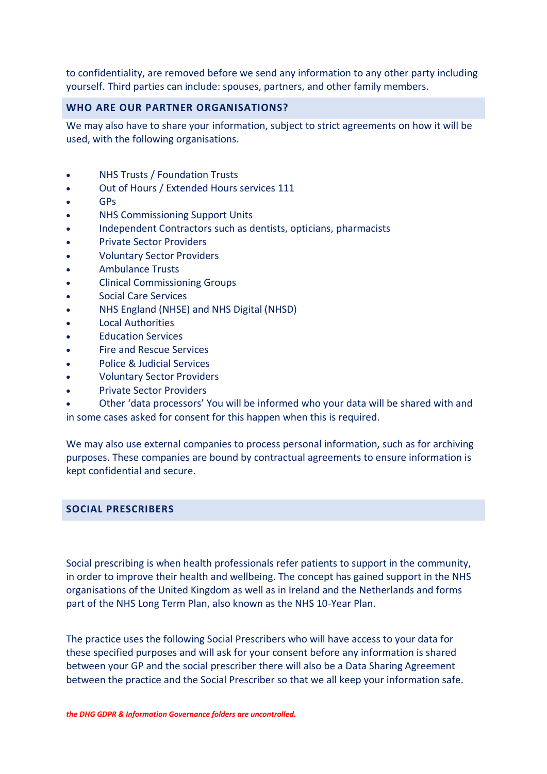to confidentiality, are removed before we send any information to any other party including yourself. Third parties can include: spouses, partners, and other family members.

## **WHO ARE OUR PARTNER ORGANISATIONS?**

We may also have to share your information, subject to strict agreements on how it will be used, with the following organisations.

- x NHS Trusts / Foundation Trusts
- Out of Hours / Extended Hours services 111
- GP<sub>s</sub>
- NHS Commissioning Support Units
- Independent Contractors such as dentists, opticians, pharmacists
- **Private Sector Providers**
- x Voluntary Sector Providers
- x Ambulance Trusts
- **Clinical Commissioning Groups**
- Social Care Services
- x NHS England (NHSE) and NHS Digital (NHSD)
- x Local Authorities
- **Education Services**
- Fire and Rescue Services
- x Police & Judicial Services
- x Voluntary Sector Providers
- x Private Sector Providers

Other 'data processors' You will be informed who your data will be shared with and in some cases asked for consent for this happen when this is required.

We may also use external companies to process personal information, such as for archiving purposes. These companies are bound by contractual agreements to ensure information is kept confidential and secure.

## **SOCIAL PRESCRIBERS**

Social prescribing is when health professionals refer patients to support in the community, in order to improve their health and wellbeing. The concept has gained support in the NHS organisations of the United Kingdom as well as in Ireland and the Netherlands and forms part of the NHS Long Term Plan, also known as the NHS 10-Year Plan.

The practice uses the following Social Prescribers who will have access to your data for these specified purposes and will ask for your consent before any information is shared between your GP and the social prescriber there will also be a Data Sharing Agreement between the practice and the Social Prescriber so that we all keep your information safe.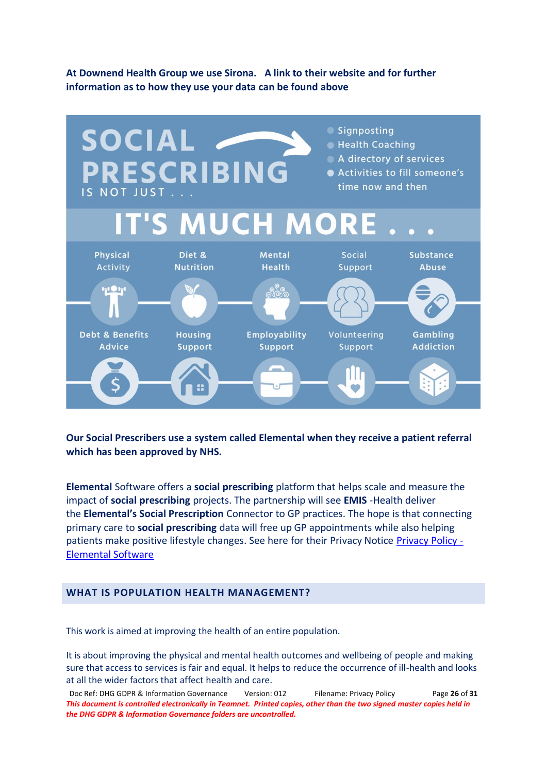## **At Downend Health Group we use Sirona. A link to their website and for further information as to how they use your data can be found above**



**Our Social Prescribers use a system called Elemental when they receive a patient referral which has been approved by NHS.** 

**Elemental** Software offers a **social prescribing** platform that helps scale and measure the impact of **social prescribing** projects. The partnership will see **EMIS** -Health deliver the **Elemental's Social Prescription** Connector to GP practices. The hope is that connecting primary care to **social prescribing** data will free up GP appointments while also helping patients make positive lifestyle changes. See here for their Privacy Notice [Privacy Policy -](https://elementalsoftware.co/privacy-policy/) [Elemental Software](https://elementalsoftware.co/privacy-policy/)

## **WHAT IS POPULATION HEALTH MANAGEMENT?**

This work is aimed at improving the health of an entire population.

It is about improving the physical and mental health outcomes and wellbeing of people and making sure that access to services is fair and equal. It helps to reduce the occurrence of ill-health and looks at all the wider factors that affect health and care.

Doc Ref: DHG GDPR & Information Governance Version: 012 Filename: Privacy Policy Page **26** of **31** *This document is controlled electronically in Teamnet. Printed copies, other than the two signed master copies held in the DHG GDPR & Information Governance folders are uncontrolled.*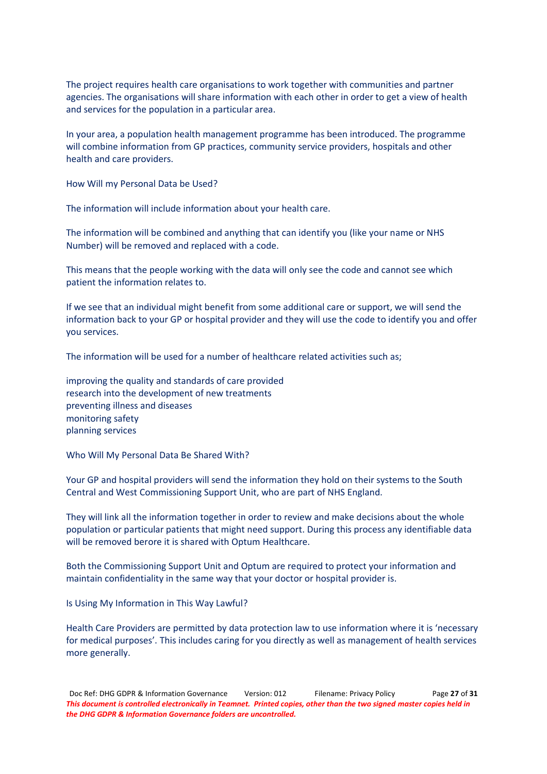The project requires health care organisations to work together with communities and partner agencies. The organisations will share information with each other in order to get a view of health and services for the population in a particular area.

In your area, a population health management programme has been introduced. The programme will combine information from GP practices, community service providers, hospitals and other health and care providers.

How Will my Personal Data be Used?

The information will include information about your health care.

The information will be combined and anything that can identify you (like your name or NHS Number) will be removed and replaced with a code.

This means that the people working with the data will only see the code and cannot see which patient the information relates to.

If we see that an individual might benefit from some additional care or support, we will send the information back to your GP or hospital provider and they will use the code to identify you and offer you services.

The information will be used for a number of healthcare related activities such as;

improving the quality and standards of care provided research into the development of new treatments preventing illness and diseases monitoring safety planning services

Who Will My Personal Data Be Shared With?

Your GP and hospital providers will send the information they hold on their systems to the South Central and West Commissioning Support Unit, who are part of NHS England.

They will link all the information together in order to review and make decisions about the whole population or particular patients that might need support. During this process any identifiable data will be removed berore it is shared with Optum Healthcare.

Both the Commissioning Support Unit and Optum are required to protect your information and maintain confidentiality in the same way that your doctor or hospital provider is.

Is Using My Information in This Way Lawful?

Health Care Providers are permitted by data protection law to use information where it is 'necessary for medical purposes'. This includes caring for you directly as well as management of health services more generally.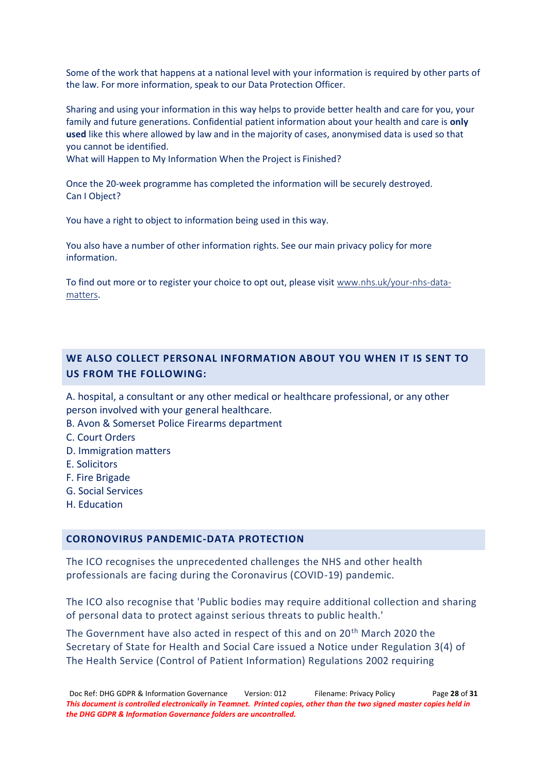Some of the work that happens at a national level with your information is required by other parts of the law. For more information, speak to our Data Protection Officer.

Sharing and using your information in this way helps to provide better health and care for you, your family and future generations. Confidential patient information about your health and care is **only used** like this where allowed by law and in the majority of cases, anonymised data is used so that you cannot be identified.

What will Happen to My Information When the Project is Finished?

Once the 20-week programme has completed the information will be securely destroyed. Can I Object?

You have a right to object to information being used in this way.

You also have a number of other information rights. See our main privacy policy for more information.

To find out more or to register your choice to opt out, please visit [www.nhs.uk/your-nhs-data](http://www.nhs.uk/your-nhs-data-matters)[matters](http://www.nhs.uk/your-nhs-data-matters).

## **WE ALSO COLLECT PERSONAL INFORMATION ABOUT YOU WHEN IT IS SENT TO US FROM THE FOLLOWING:**

A. hospital, a consultant or any other medical or healthcare professional, or any other person involved with your general healthcare.

- B. Avon & Somerset Police Firearms department
- C. Court Orders
- D. Immigration matters
- E. Solicitors
- F. Fire Brigade
- G. Social Services
- H. Education

### **CORONOVIRUS PANDEMIC-DATA PROTECTION**

The ICO recognises the unprecedented challenges the NHS and other health professionals are facing during the Coronavirus (COVID-19) pandemic.

The ICO also recognise that 'Public bodies may require additional collection and sharing of personal data to protect against serious threats to public health.'

The Government have also acted in respect of this and on 20<sup>th</sup> March 2020 the Secretary of State for Health and Social Care issued a Notice under Regulation 3(4) of The Health Service (Control of Patient Information) Regulations 2002 requiring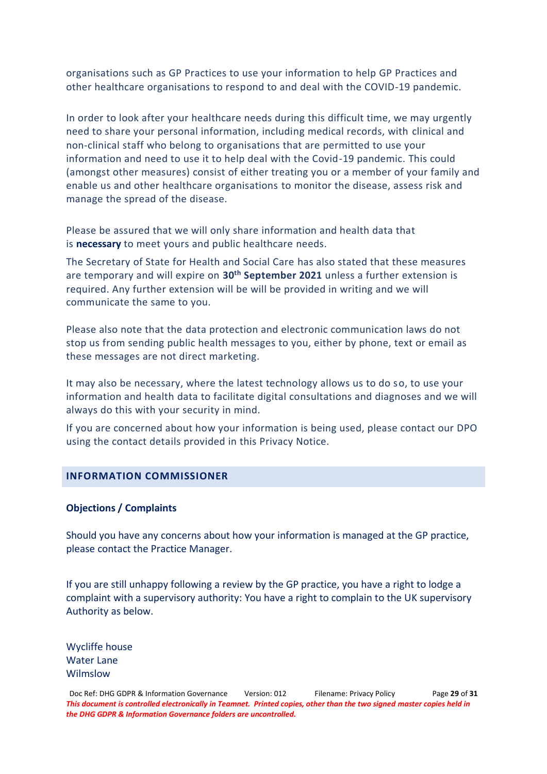organisations such as GP Practices to use your information to help GP Practices and other healthcare organisations to respond to and deal with the COVID-19 pandemic.

In order to look after your healthcare needs during this difficult time, we may urgently need to share your personal information, including medical records, with clinical and non-clinical staff who belong to organisations that are permitted to use your information and need to use it to help deal with the Covid-19 pandemic. This could (amongst other measures) consist of either treating you or a member of your family and enable us and other healthcare organisations to monitor the disease, assess risk and manage the spread of the disease.

Please be assured that we will only share information and health data that is **necessary** to meet yours and public healthcare needs.

The Secretary of State for Health and Social Care has also stated that these measures are temporary and will expire on **30th September 2021** unless a further extension is required. Any further extension will be will be provided in writing and we will communicate the same to you.

Please also note that the data protection and electronic communication laws do not stop us from sending public health messages to you, either by phone, text or email as these messages are not direct marketing.

It may also be necessary, where the latest technology allows us to do so, to use your information and health data to facilitate digital consultations and diagnoses and we will always do this with your security in mind.

If you are concerned about how your information is being used, please contact our DPO using the contact details provided in this Privacy Notice.

### **INFORMATION COMMISSIONER**

#### **Objections / Complaints**

Should you have any concerns about how your information is managed at the GP practice, please contact the Practice Manager.

If you are still unhappy following a review by the GP practice, you have a right to lodge a complaint with a supervisory authority: You have a right to complain to the UK supervisory Authority as below.

Wycliffe house Water Lane Wilmslow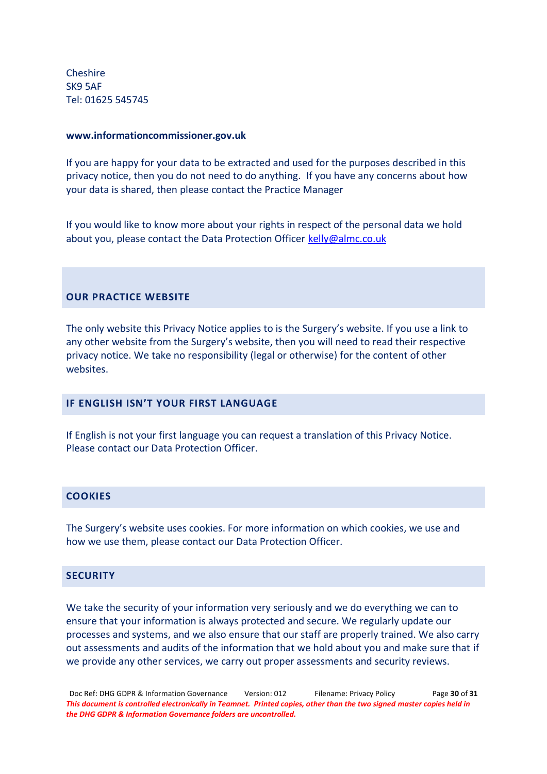Cheshire SK9 5AF Tel: 01625 545745

#### **[www.informationcommissioner.gov.uk](http://www.informationcommissioner.gov.uk/)**

If you are happy for your data to be extracted and used for the purposes described in this privacy notice, then you do not need to do anything. If you have any concerns about how your data is shared, then please contact the Practice Manager

If you would like to know more about your rights in respect of the personal data we hold about you, please contact the Data Protection Officer [kelly@almc.co.uk](mailto:kelly@almc.co.uk)

## **OUR PRACTICE WEBSITE**

The only website this Privacy Notice applies to is the Surgery's website. If you use a link to any other website from the Surgery's website, then you will need to read their respective privacy notice. We take no responsibility (legal or otherwise) for the content of other websites.

## *IF ENGLISH ISN'T YOUR FIRST LANGUAGE*

If English is not your first language you can request a translation of this Privacy Notice. Please contact our Data Protection Officer.

### **COOKIES**

The Surgery's website uses cookies. For more information on which cookies, we use and how we use them, please contact our Data Protection Officer.

#### **SECURITY**

We take the security of your information very seriously and we do everything we can to ensure that your information is always protected and secure. We regularly update our processes and systems, and we also ensure that our staff are properly trained. We also carry out assessments and audits of the information that we hold about you and make sure that if we provide any other services, we carry out proper assessments and security reviews.